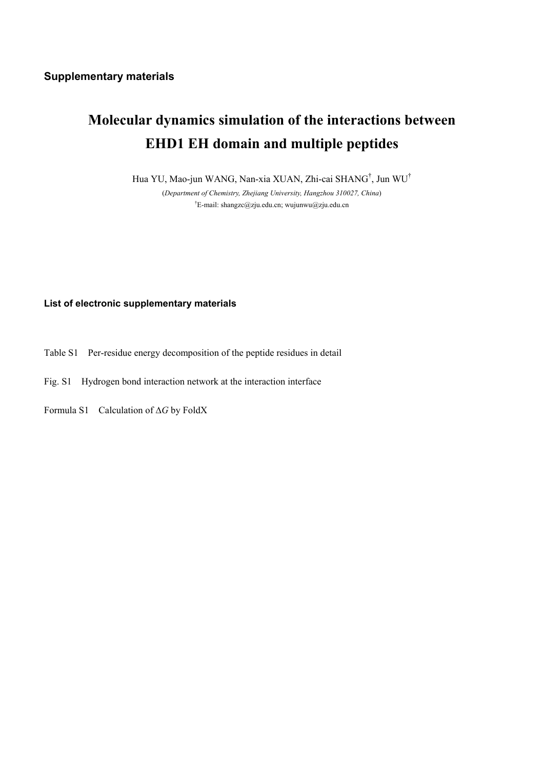## **Molecular dynamics simulation of the interactions between EHD1 EH domain and multiple peptides**

Hua YU, Mao-jun WANG, Nan-xia XUAN, Zhi-cai SHANG† , Jun WU†

(*Department of Chemistry, Zhejiang University, Hangzhou 310027, China*) <sup>†</sup>E-mail: shangzc@zju.edu.cn; wujunwu@zju.edu.cn

## **List of electronic supplementary materials**

- Table S1 Per-residue energy decomposition of the peptide residues in detail
- Fig. S1 Hydrogen bond interaction network at the interaction interface

Formula S1 Calculation of ∆*G* by FoldX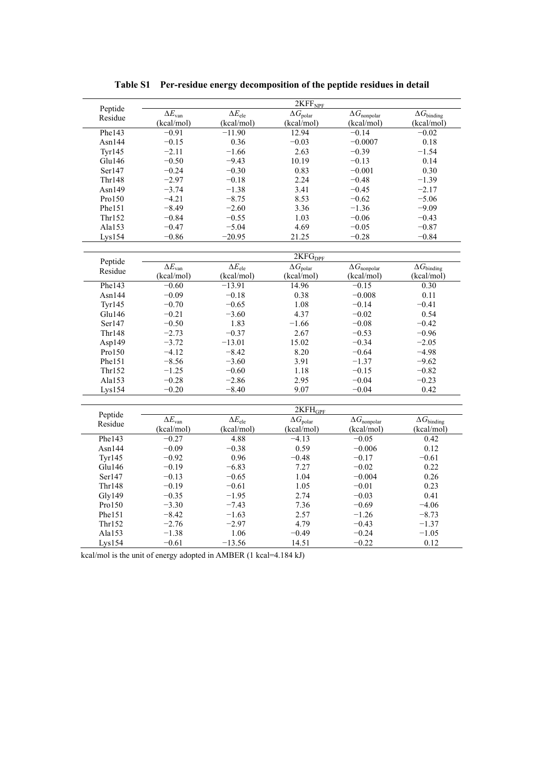|               | 2KFF <sub>NPF</sub>             |                                      |                        |                                         |                                     |  |  |  |
|---------------|---------------------------------|--------------------------------------|------------------------|-----------------------------------------|-------------------------------------|--|--|--|
| Peptide       | $\overline{\Delta E_{\rm van}}$ | $\overline{\Delta E}_{\mathrm{ele}}$ | $\Delta G_{\rm polar}$ | $\overline{\Delta G}_{\text{nonpolar}}$ | $\overline{\Delta G}_{\rm binding}$ |  |  |  |
| Residue       | (kcal/mol)                      | (kcal/mol)                           | (kcal/mol)             | (kcal/mol)                              | (kcal/mol)                          |  |  |  |
| Phe143        | $-0.91$                         | $-11.90$                             | 12.94                  | $-0.14$                                 | $-0.02$                             |  |  |  |
| Asn $144$     | $-0.15$                         | 0.36                                 | $-0.03$                | $-0.0007$                               | 0.18                                |  |  |  |
| <b>Tyr145</b> | $-2.11$                         | $-1.66$                              | 2.63                   | $-0.39$                                 | $-1.54$                             |  |  |  |
| Glu146        | $-0.50$                         | $-9.43$                              | 10.19                  | $-0.13$                                 | 0.14                                |  |  |  |
| Ser147        | $-0.24$                         | $-0.30$                              | 0.83                   | $-0.001$                                | 0.30                                |  |  |  |
| Thr148        | $-2.97$                         | $-0.18$                              | 2.24                   | $-0.48$                                 | $-1.39$                             |  |  |  |
| Asn149        | $-3.74$                         | $-1.38$                              | 3.41                   | $-0.45$                                 | $-2.17$                             |  |  |  |
| Pro150        | $-4.21$                         | $-8.75$                              | 8.53                   | $-0.62$                                 | $-5.06$                             |  |  |  |
| Phe151        | $-8.49$                         | $-2.60$                              | 3.36                   | $-1.36$                                 | $-9.09$                             |  |  |  |
| Thr152        | $-0.84$                         | $-0.55$                              | 1.03                   | $-0.06$                                 | $-0.43$                             |  |  |  |
| Ala153        | $-0.47$                         | $-5.04$                              | 4.69                   | $-0.05$                                 | $-0.87$                             |  |  |  |
| Lys154        | $-0.86$                         | $-20.95$                             | 21.25                  | $-0.28$                                 | $-0.84$                             |  |  |  |
|               |                                 |                                      |                        |                                         |                                     |  |  |  |
| Peptide       |                                 |                                      | 2KFG <sub>DPF</sub>    |                                         |                                     |  |  |  |
| Residue       | $\Delta E_{\rm van}$            | $\overline{\Delta E}_{\text{ele}}$   | $\Delta G_{\rm polar}$ | $\overline{\Delta} G_{\text{nonpolar}}$ | $\overline{\Delta} G_{\rm binding}$ |  |  |  |
|               | (kcal/mol)                      | (kcal/mol)                           | (kcal/mol)             | (kcal/mol)                              | (kcal/mol)                          |  |  |  |
| Phe143        | $-0.60$                         | $-13.91$                             | 14.96                  | $-0.15$                                 | 0.30                                |  |  |  |
| Asn144        | $-0.09$                         | $-0.18$                              | 0.38                   | $-0.008$                                | 0.11                                |  |  |  |
| <b>Tyr145</b> | $-0.70$                         | $-0.65$                              | 1.08                   | $-0.14$                                 | $-0.41$                             |  |  |  |
| Glu146        | $-0.21$                         | $-3.60$                              | 4.37                   | $-0.02$                                 | 0.54                                |  |  |  |
| Ser147        | $-0.50$                         | 1.83                                 | $-1.66$                | $-0.08$                                 | $-0.42$                             |  |  |  |
| <b>Thr148</b> | $-2.73$                         | $-0.37$                              | 2.67                   | $-0.53$                                 | $-0.96$                             |  |  |  |
| Asp149        | $-3.72$                         | $-13.01$                             | 15.02                  | $-0.34$                                 | $-2.05$                             |  |  |  |
| Pro150        | $-4.12$                         | $-8.42$                              | 8.20                   | $-0.64$                                 | $-4.98$                             |  |  |  |
| Phe151        | $-8.56$                         | $-3.60$                              | 3.91                   | $-1.37$                                 | $-9.62$                             |  |  |  |
| Thr152        | $-1.25$                         | $-0.60$                              | 1.18                   | $-0.15$                                 | $-0.82$                             |  |  |  |
| Ala153        | $-0.28$                         | $-2.86$                              | 2.95                   | $-0.04$                                 | $-0.23$                             |  |  |  |
| Lys154        | $-0.20$                         | $-8.40$                              | 9.07                   | $-0.04$                                 | 0.42                                |  |  |  |
|               |                                 |                                      |                        |                                         |                                     |  |  |  |
| Peptide       |                                 |                                      | 2KFH <sub>GPF</sub>    |                                         |                                     |  |  |  |
| Residue       | $\overline{\Delta E_{\rm van}}$ | $\overline{\Delta E_{\text{ele}}}$   | $\Delta G_{\rm polar}$ | $\overline{\Delta G}_{\text{nonpolar}}$ | $\overline{\Delta G}_{\rm binding}$ |  |  |  |
|               | (kcal/mol)                      | (kcal/mol)                           | (kcal/mol)             | (kcal/mol)                              | (kcal/mol)                          |  |  |  |
| Phe143        | $-0.27$                         | 4.88                                 | $-4.13$                | $-0.05$                                 | 0.42                                |  |  |  |
| Asn $144$     | $-0.09$                         | $-0.38$                              | 0.59                   | $-0.006$                                | 0.12                                |  |  |  |
| <b>Tyr145</b> | $-0.92$                         | 0.96                                 | $-0.48$                | $-0.17$                                 | $-0.61$                             |  |  |  |
| Glu146        | $-0.19$                         | $-6.83$                              | 7.27                   | $-0.02$                                 | 0.22                                |  |  |  |
| Ser147        | $-0.13$                         | $-0.65$                              | 1.04                   | $-0.004$                                | 0.26                                |  |  |  |
| <b>Thr148</b> | $-0.19$                         | $-0.61$                              | 1.05                   | $-0.01$                                 | 0.23                                |  |  |  |
| Gly149        | $-0.35$                         | $-1.95$                              | 2.74                   | $-0.03$                                 | 0.41                                |  |  |  |
| Pro150        | $-3.30$                         | $-7.43$                              | 7.36                   | $-0.69$                                 | $-4.06$                             |  |  |  |
| Phe151        | $-8.42$                         | $-1.63$                              | 2.57                   | $-1.26$                                 | $-8.73$                             |  |  |  |
| Thr152        | $-2.76$                         | $-2.97$                              | 4.79                   | $-0.43$                                 | $-1.37$                             |  |  |  |
| Ala153        | $-1.38$                         | 1.06                                 | $-0.49$                | $-0.24$                                 | $-1.05$                             |  |  |  |
| Lys154        | $-0.61$                         | $-13.56$                             | 14.51                  | $-0.22$                                 | 0.12                                |  |  |  |

**Table S1 Per-residue energy decomposition of the peptide residues in detail** 

kcal/mol is the unit of energy adopted in AMBER (1 kcal=4.184 kJ)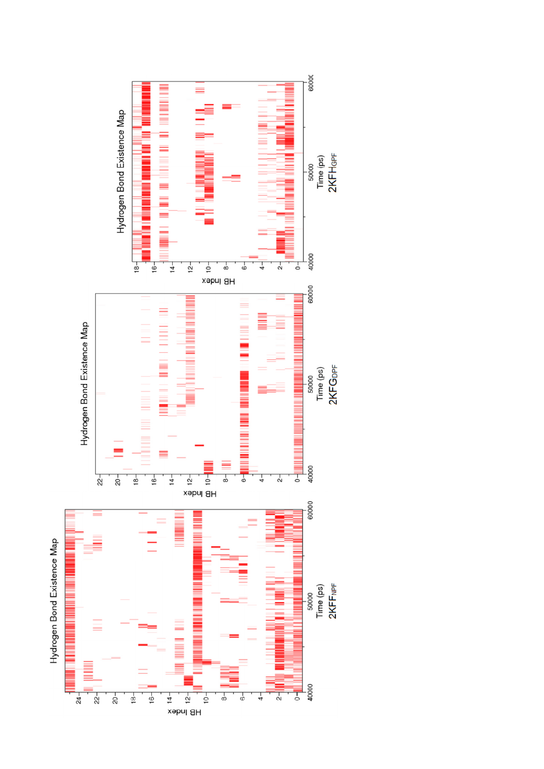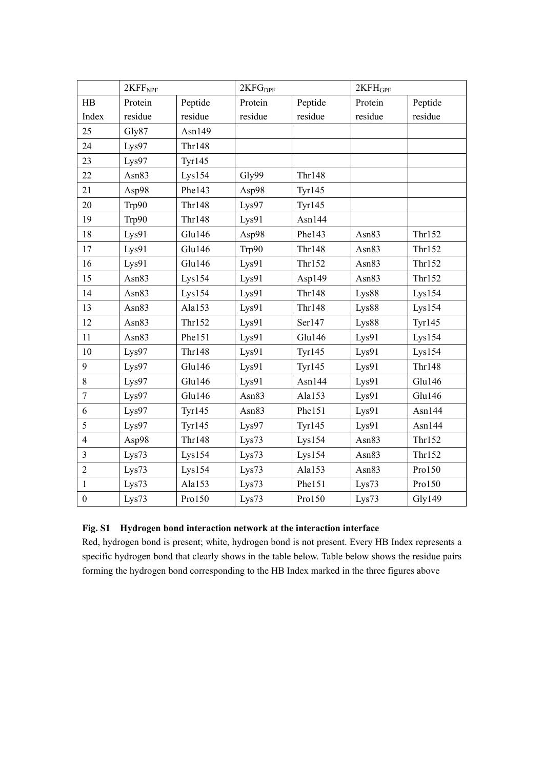|                  | 2KFF <sub>NPF</sub> |               | 2KFG <sub>DPF</sub> |               | $2KFH_{GPF}$ |               |
|------------------|---------------------|---------------|---------------------|---------------|--------------|---------------|
| HB               | Protein             | Peptide       | Protein             | Peptide       | Protein      | Peptide       |
| Index            | residue             | residue       | residue             | residue       | residue      | residue       |
| 25               | Gly87               | Asn149        |                     |               |              |               |
| 24               | Lys97               | Thr148        |                     |               |              |               |
| 23               | Lys97               | <b>Tyr145</b> |                     |               |              |               |
| 22               | Asn83               | Lys154        | Gly99               | <b>Thr148</b> |              |               |
| 21               | Asp98               | Phe143        | Asp98               | <b>Tyr145</b> |              |               |
| 20               | Trp90               | <b>Thr148</b> | Lys97               | <b>Tyr145</b> |              |               |
| 19               | Trp90               | <b>Thr148</b> | Lys91               | Asn144        |              |               |
| 18               | Lys91               | Glu146        | Asp98               | Phe143        | Asn83        | Thr152        |
| 17               | Lys91               | Glu146        | Trp90               | <b>Thr148</b> | Asn83        | Thr152        |
| 16               | Lys91               | Glu146        | Lys91               | Thr152        | Asn83        | Thr152        |
| 15               | Asn83               | Lys154        | Lys91               | Asp149        | Asn83        | Thr152        |
| 14               | Asn83               | Lys154        | Lys91               | <b>Thr148</b> | Lys88        | Lys154        |
| 13               | Asn83               | Ala153        | Lys91               | <b>Thr148</b> | Lys88        | Lys154        |
| 12               | Asn83               | Thr152        | Lys91               | Ser147        | Lys88        | <b>Tyr145</b> |
| 11               | Asn83               | Phe151        | Lys91               | Glu146        | Lys91        | Lys154        |
| 10               | Lys97               | Thr148        | Lys91               | <b>Tyr145</b> | Lys91        | Lys154        |
| 9                | Lys97               | Glu146        | Lys91               | <b>Tyr145</b> | Lys91        | <b>Thr148</b> |
| 8                | Lys97               | Glu146        | Lys91               | Asn144        | Lys91        | Glu146        |
| $\overline{7}$   | Lys97               | Glu146        | Asn83               | Ala153        | Lys91        | Glu146        |
| 6                | Lys97               | <b>Tyr145</b> | Asn83               | Phe151        | Lys91        | Asn144        |
| 5                | Lys97               | <b>Tyr145</b> | Lys97               | <b>Tyr145</b> | Lys91        | Asn144        |
| $\overline{4}$   | Asp98               | Thr148        | Lys73               | Lys154        | Asn83        | Thr152        |
| $\overline{3}$   | Lys73               | Lys154        | Lys73               | Lys154        | Asn83        | Thr152        |
| $\overline{2}$   | Lys73               | Lys154        | Lys73               | Ala153        | Asn83        | Pro150        |
| $\mathbf{1}$     | Lys73               | Ala153        | Lys73               | Phe151        | Lys73        | Pro150        |
| $\boldsymbol{0}$ | Lys73               | Pro150        | Lys73               | Pro150        | Lys73        | Gly149        |

## **Fig. S1 Hydrogen bond interaction network at the interaction interface**

Red, hydrogen bond is present; white, hydrogen bond is not present. Every HB Index represents a specific hydrogen bond that clearly shows in the table below. Table below shows the residue pairs forming the hydrogen bond corresponding to the HB Index marked in the three figures above